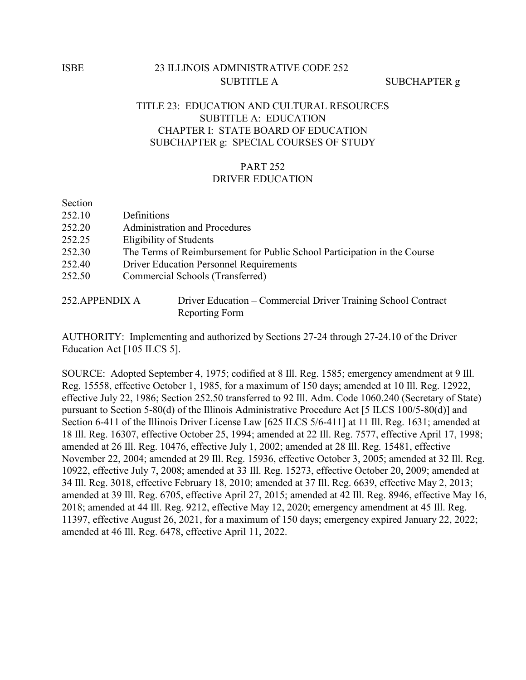## TITLE 23: EDUCATION AND CULTURAL RESOURCES SUBTITLE A: EDUCATION CHAPTER I: STATE BOARD OF EDUCATION SUBCHAPTER g: SPECIAL COURSES OF STUDY

### PART 252 DRIVER EDUCATION

Section

- 252.10 Definitions
- 252.20 Administration and Procedures
- 252.25 Eligibility of Students
- 252.30 The Terms of Reimbursement for Public School Participation in the Course
- 252.40 Driver Education Personnel Requirements
- 252.50 Commercial Schools (Transferred)

| 252.APPENDIX A | Driver Education – Commercial Driver Training School Contract |
|----------------|---------------------------------------------------------------|
|                | Reporting Form                                                |

AUTHORITY: Implementing and authorized by Sections 27-24 through 27-24.10 of the Driver Education Act [105 ILCS 5].

SOURCE: Adopted September 4, 1975; codified at 8 Ill. Reg. 1585; emergency amendment at 9 Ill. Reg. 15558, effective October 1, 1985, for a maximum of 150 days; amended at 10 Ill. Reg. 12922, effective July 22, 1986; Section 252.50 transferred to 92 Ill. Adm. Code 1060.240 (Secretary of State) pursuant to Section 5-80(d) of the Illinois Administrative Procedure Act [5 ILCS 100/5-80(d)] and Section 6-411 of the Illinois Driver License Law [625 ILCS 5/6-411] at 11 Ill. Reg. 1631; amended at 18 Ill. Reg. 16307, effective October 25, 1994; amended at 22 Ill. Reg. 7577, effective April 17, 1998; amended at 26 Ill. Reg. 10476, effective July 1, 2002; amended at 28 Ill. Reg. 15481, effective November 22, 2004; amended at 29 Ill. Reg. 15936, effective October 3, 2005; amended at 32 Ill. Reg. 10922, effective July 7, 2008; amended at 33 Ill. Reg. 15273, effective October 20, 2009; amended at 34 Ill. Reg. 3018, effective February 18, 2010; amended at 37 Ill. Reg. 6639, effective May 2, 2013; amended at 39 Ill. Reg. 6705, effective April 27, 2015; amended at 42 Ill. Reg. 8946, effective May 16, 2018; amended at 44 Ill. Reg. 9212, effective May 12, 2020; emergency amendment at 45 Ill. Reg. 11397, effective August 26, 2021, for a maximum of 150 days; emergency expired January 22, 2022; amended at 46 Ill. Reg. 6478, effective April 11, 2022.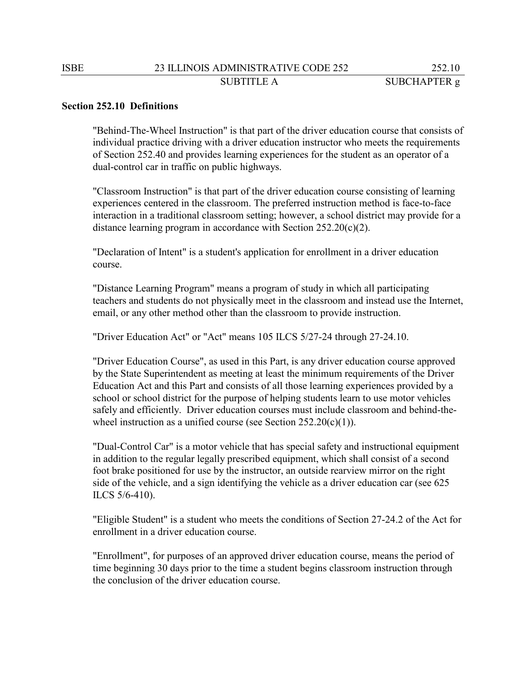#### **Section 252.10 Definitions**

"Behind-The-Wheel Instruction" is that part of the driver education course that consists of individual practice driving with a driver education instructor who meets the requirements of Section 252.40 and provides learning experiences for the student as an operator of a dual-control car in traffic on public highways.

"Classroom Instruction" is that part of the driver education course consisting of learning experiences centered in the classroom. The preferred instruction method is face-to-face interaction in a traditional classroom setting; however, a school district may provide for a distance learning program in accordance with Section  $252.20(c)(2)$ .

"Declaration of Intent" is a student's application for enrollment in a driver education course.

"Distance Learning Program" means a program of study in which all participating teachers and students do not physically meet in the classroom and instead use the Internet, email, or any other method other than the classroom to provide instruction.

"Driver Education Act" or "Act" means 105 ILCS 5/27-24 through 27-24.10.

"Driver Education Course", as used in this Part, is any driver education course approved by the State Superintendent as meeting at least the minimum requirements of the Driver Education Act and this Part and consists of all those learning experiences provided by a school or school district for the purpose of helping students learn to use motor vehicles safely and efficiently. Driver education courses must include classroom and behind-thewheel instruction as a unified course (see Section  $252.20(c)(1)$ ).

"Dual-Control Car" is a motor vehicle that has special safety and instructional equipment in addition to the regular legally prescribed equipment, which shall consist of a second foot brake positioned for use by the instructor, an outside rearview mirror on the right side of the vehicle, and a sign identifying the vehicle as a driver education car (see 625 ILCS 5/6-410).

"Eligible Student" is a student who meets the conditions of Section 27-24.2 of the Act for enrollment in a driver education course.

"Enrollment", for purposes of an approved driver education course, means the period of time beginning 30 days prior to the time a student begins classroom instruction through the conclusion of the driver education course.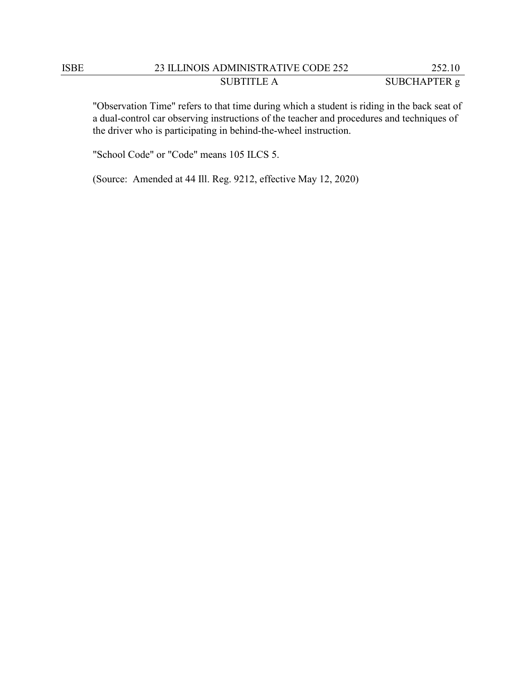# ISBE 23 ILLINOIS ADMINISTRATIVE CODE 252 252.10 SUBTITLE A SUBCHAPTER g

"Observation Time" refers to that time during which a student is riding in the back seat of a dual-control car observing instructions of the teacher and procedures and techniques of the driver who is participating in behind-the-wheel instruction.

"School Code" or "Code" means 105 ILCS 5.

(Source: Amended at 44 Ill. Reg. 9212, effective May 12, 2020)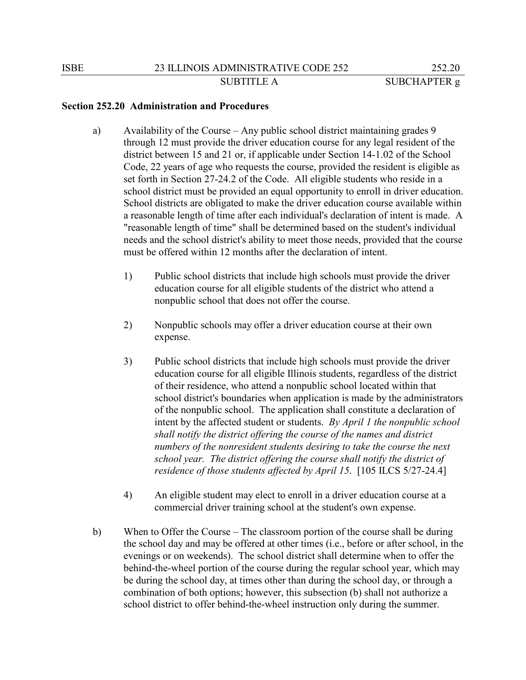- a) Availability of the Course Any public school district maintaining grades 9 through 12 must provide the driver education course for any legal resident of the district between 15 and 21 or, if applicable under Section 14-1.02 of the School Code, 22 years of age who requests the course, provided the resident is eligible as set forth in Section 27-24.2 of the Code. All eligible students who reside in a school district must be provided an equal opportunity to enroll in driver education. School districts are obligated to make the driver education course available within a reasonable length of time after each individual's declaration of intent is made. A "reasonable length of time" shall be determined based on the student's individual needs and the school district's ability to meet those needs, provided that the course must be offered within 12 months after the declaration of intent.
	- 1) Public school districts that include high schools must provide the driver education course for all eligible students of the district who attend a nonpublic school that does not offer the course.
	- 2) Nonpublic schools may offer a driver education course at their own expense.
	- 3) Public school districts that include high schools must provide the driver education course for all eligible Illinois students, regardless of the district of their residence, who attend a nonpublic school located within that school district's boundaries when application is made by the administrators of the nonpublic school. The application shall constitute a declaration of intent by the affected student or students. *By April 1 the nonpublic school shall notify the district offering the course of the names and district numbers of the nonresident students desiring to take the course the next school year. The district offering the course shall notify the district of residence of those students affected by April 15*. [105 ILCS 5/27-24.4]
	- 4) An eligible student may elect to enroll in a driver education course at a commercial driver training school at the student's own expense.
- b) When to Offer the Course The classroom portion of the course shall be during the school day and may be offered at other times (i.e., before or after school, in the evenings or on weekends). The school district shall determine when to offer the behind-the-wheel portion of the course during the regular school year, which may be during the school day, at times other than during the school day, or through a combination of both options; however, this subsection (b) shall not authorize a school district to offer behind-the-wheel instruction only during the summer.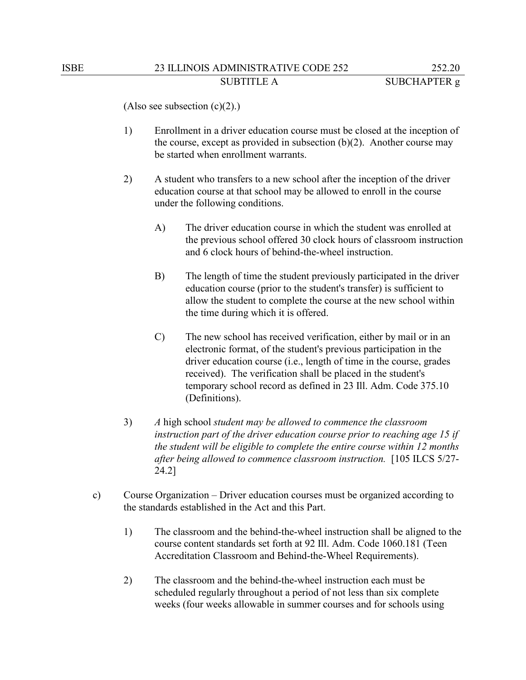(Also see subsection  $(c)(2)$ .)

- 1) Enrollment in a driver education course must be closed at the inception of the course, except as provided in subsection  $(b)(2)$ . Another course may be started when enrollment warrants.
- 2) A student who transfers to a new school after the inception of the driver education course at that school may be allowed to enroll in the course under the following conditions.
	- A) The driver education course in which the student was enrolled at the previous school offered 30 clock hours of classroom instruction and 6 clock hours of behind-the-wheel instruction.
	- B) The length of time the student previously participated in the driver education course (prior to the student's transfer) is sufficient to allow the student to complete the course at the new school within the time during which it is offered.
	- C) The new school has received verification, either by mail or in an electronic format, of the student's previous participation in the driver education course (i.e., length of time in the course, grades received). The verification shall be placed in the student's temporary school record as defined in 23 Ill. Adm. Code 375.10 (Definitions).
- 3) *A* high school *student may be allowed to commence the classroom instruction part of the driver education course prior to reaching age 15 if the student will be eligible to complete the entire course within 12 months after being allowed to commence classroom instruction.* [105 ILCS 5/27- 24.2]
- c) Course Organization Driver education courses must be organized according to the standards established in the Act and this Part.
	- 1) The classroom and the behind-the-wheel instruction shall be aligned to the course content standards set forth at 92 Ill. Adm. Code 1060.181 (Teen Accreditation Classroom and Behind-the-Wheel Requirements).
	- 2) The classroom and the behind-the-wheel instruction each must be scheduled regularly throughout a period of not less than six complete weeks (four weeks allowable in summer courses and for schools using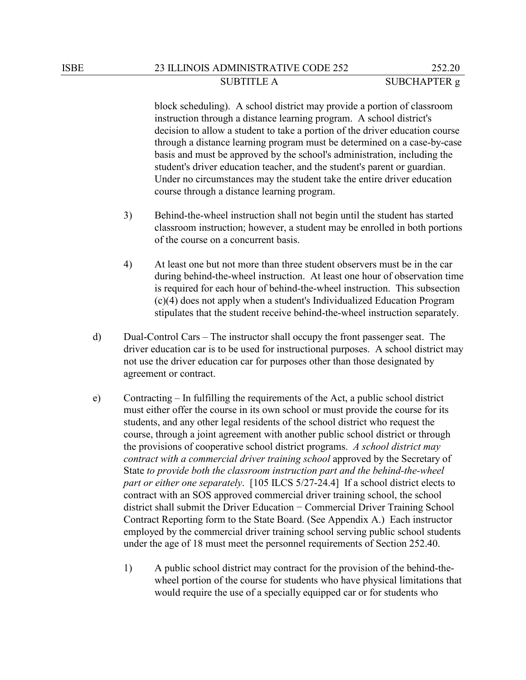block scheduling). A school district may provide a portion of classroom instruction through a distance learning program. A school district's decision to allow a student to take a portion of the driver education course through a distance learning program must be determined on a case-by-case basis and must be approved by the school's administration, including the student's driver education teacher, and the student's parent or guardian. Under no circumstances may the student take the entire driver education course through a distance learning program.

- 3) Behind-the-wheel instruction shall not begin until the student has started classroom instruction; however, a student may be enrolled in both portions of the course on a concurrent basis.
- 4) At least one but not more than three student observers must be in the car during behind-the-wheel instruction. At least one hour of observation time is required for each hour of behind-the-wheel instruction. This subsection (c)(4) does not apply when a student's Individualized Education Program stipulates that the student receive behind-the-wheel instruction separately.
- d) Dual-Control Cars The instructor shall occupy the front passenger seat. The driver education car is to be used for instructional purposes. A school district may not use the driver education car for purposes other than those designated by agreement or contract.
- e) Contracting In fulfilling the requirements of the Act, a public school district must either offer the course in its own school or must provide the course for its students, and any other legal residents of the school district who request the course, through a joint agreement with another public school district or through the provisions of cooperative school district programs. *A school district may contract with a commercial driver training school* approved by the Secretary of State *to provide both the classroom instruction part and the behind-the-wheel part or either one separately*. [105 ILCS 5/27-24.4] If a school district elects to contract with an SOS approved commercial driver training school, the school district shall submit the Driver Education − Commercial Driver Training School Contract Reporting form to the State Board. (See Appendix A.) Each instructor employed by the commercial driver training school serving public school students under the age of 18 must meet the personnel requirements of Section 252.40.
	- 1) A public school district may contract for the provision of the behind-thewheel portion of the course for students who have physical limitations that would require the use of a specially equipped car or for students who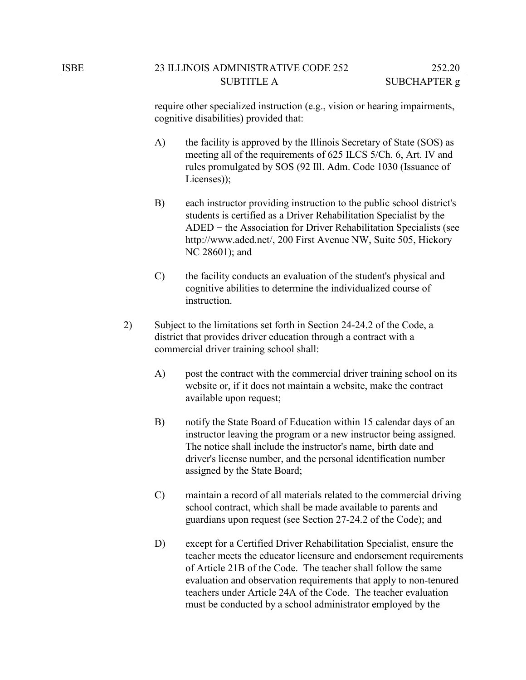require other specialized instruction (e.g., vision or hearing impairments, cognitive disabilities) provided that:

- A) the facility is approved by the Illinois Secretary of State (SOS) as meeting all of the requirements of 625 ILCS 5/Ch. 6, Art. IV and rules promulgated by SOS (92 Ill. Adm. Code 1030 (Issuance of Licenses));
- B) each instructor providing instruction to the public school district's students is certified as a Driver Rehabilitation Specialist by the ADED − the Association for Driver Rehabilitation Specialists (see http://www.aded.net/, 200 First Avenue NW, Suite 505, Hickory NC 28601); and
- C) the facility conducts an evaluation of the student's physical and cognitive abilities to determine the individualized course of instruction.
- 2) Subject to the limitations set forth in Section 24-24.2 of the Code, a district that provides driver education through a contract with a commercial driver training school shall:
	- A) post the contract with the commercial driver training school on its website or, if it does not maintain a website, make the contract available upon request;
	- B) notify the State Board of Education within 15 calendar days of an instructor leaving the program or a new instructor being assigned. The notice shall include the instructor's name, birth date and driver's license number, and the personal identification number assigned by the State Board;
	- C) maintain a record of all materials related to the commercial driving school contract, which shall be made available to parents and guardians upon request (see Section 27-24.2 of the Code); and
	- D) except for a Certified Driver Rehabilitation Specialist, ensure the teacher meets the educator licensure and endorsement requirements of Article 21B of the Code. The teacher shall follow the same evaluation and observation requirements that apply to non-tenured teachers under Article 24A of the Code. The teacher evaluation must be conducted by a school administrator employed by the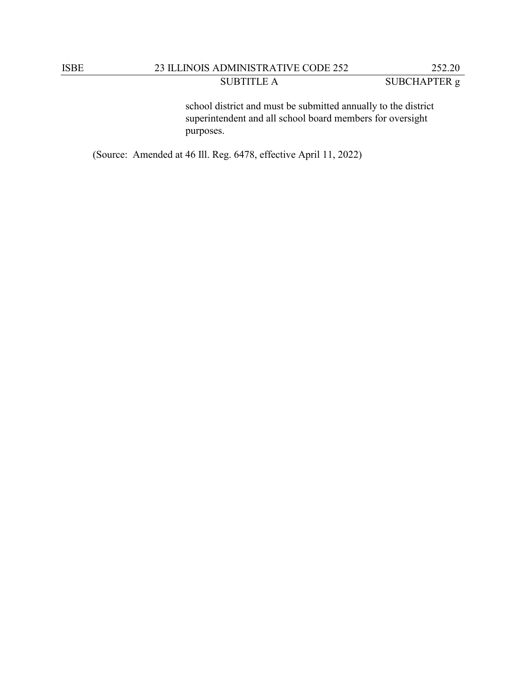# ISBE 23 ILLINOIS ADMINISTRATIVE CODE 252 252.20 SUBTITLE A SUBCHAPTER g

school district and must be submitted annually to the district superintendent and all school board members for oversight purposes.

(Source: Amended at 46 Ill. Reg. 6478, effective April 11, 2022)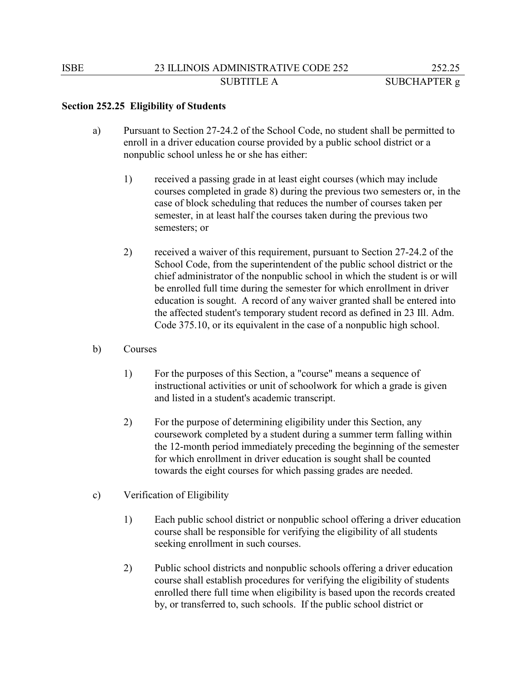#### **Section 252.25 Eligibility of Students**

- a) Pursuant to Section 27-24.2 of the School Code, no student shall be permitted to enroll in a driver education course provided by a public school district or a nonpublic school unless he or she has either:
	- 1) received a passing grade in at least eight courses (which may include courses completed in grade 8) during the previous two semesters or, in the case of block scheduling that reduces the number of courses taken per semester, in at least half the courses taken during the previous two semesters; or
	- 2) received a waiver of this requirement, pursuant to Section 27-24.2 of the School Code, from the superintendent of the public school district or the chief administrator of the nonpublic school in which the student is or will be enrolled full time during the semester for which enrollment in driver education is sought. A record of any waiver granted shall be entered into the affected student's temporary student record as defined in 23 Ill. Adm. Code 375.10, or its equivalent in the case of a nonpublic high school.
- b) Courses
	- 1) For the purposes of this Section, a "course" means a sequence of instructional activities or unit of schoolwork for which a grade is given and listed in a student's academic transcript.
	- 2) For the purpose of determining eligibility under this Section, any coursework completed by a student during a summer term falling within the 12-month period immediately preceding the beginning of the semester for which enrollment in driver education is sought shall be counted towards the eight courses for which passing grades are needed.
- c) Verification of Eligibility
	- 1) Each public school district or nonpublic school offering a driver education course shall be responsible for verifying the eligibility of all students seeking enrollment in such courses.
	- 2) Public school districts and nonpublic schools offering a driver education course shall establish procedures for verifying the eligibility of students enrolled there full time when eligibility is based upon the records created by, or transferred to, such schools. If the public school district or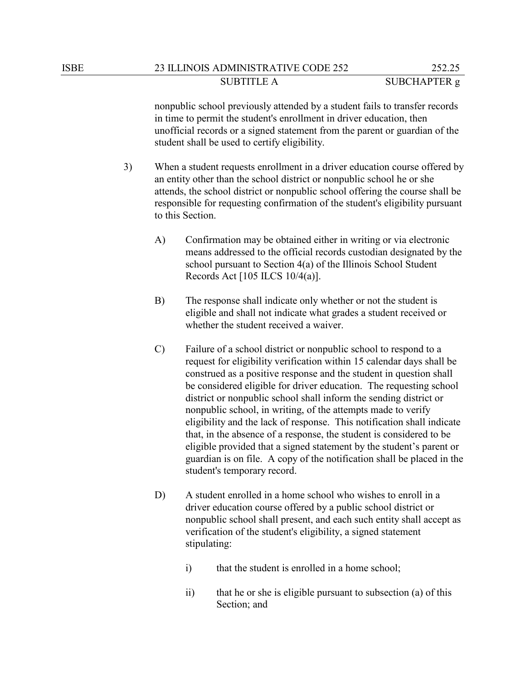nonpublic school previously attended by a student fails to transfer records in time to permit the student's enrollment in driver education, then unofficial records or a signed statement from the parent or guardian of the student shall be used to certify eligibility.

- 3) When a student requests enrollment in a driver education course offered by an entity other than the school district or nonpublic school he or she attends, the school district or nonpublic school offering the course shall be responsible for requesting confirmation of the student's eligibility pursuant to this Section.
	- A) Confirmation may be obtained either in writing or via electronic means addressed to the official records custodian designated by the school pursuant to Section 4(a) of the Illinois School Student Records Act [105 ILCS 10/4(a)].
	- B) The response shall indicate only whether or not the student is eligible and shall not indicate what grades a student received or whether the student received a waiver.
	- C) Failure of a school district or nonpublic school to respond to a request for eligibility verification within 15 calendar days shall be construed as a positive response and the student in question shall be considered eligible for driver education. The requesting school district or nonpublic school shall inform the sending district or nonpublic school, in writing, of the attempts made to verify eligibility and the lack of response. This notification shall indicate that, in the absence of a response, the student is considered to be eligible provided that a signed statement by the student's parent or guardian is on file. A copy of the notification shall be placed in the student's temporary record.
	- D) A student enrolled in a home school who wishes to enroll in a driver education course offered by a public school district or nonpublic school shall present, and each such entity shall accept as verification of the student's eligibility, a signed statement stipulating:
		- i) that the student is enrolled in a home school;
		- ii) that he or she is eligible pursuant to subsection (a) of this Section; and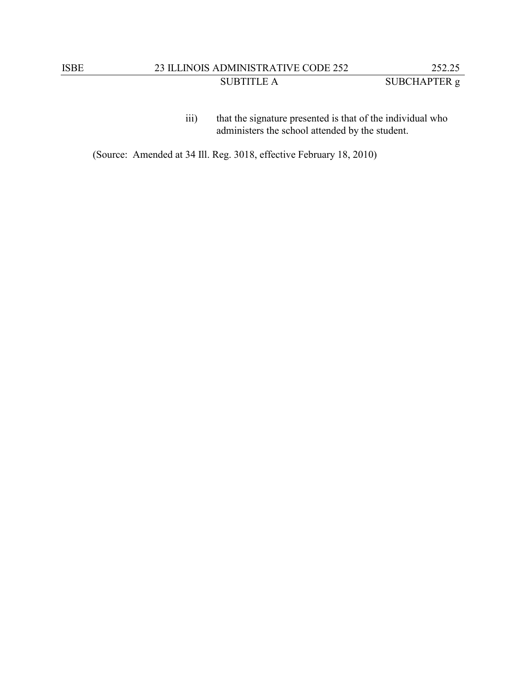(Source: Amended at 34 Ill. Reg. 3018, effective February 18, 2010)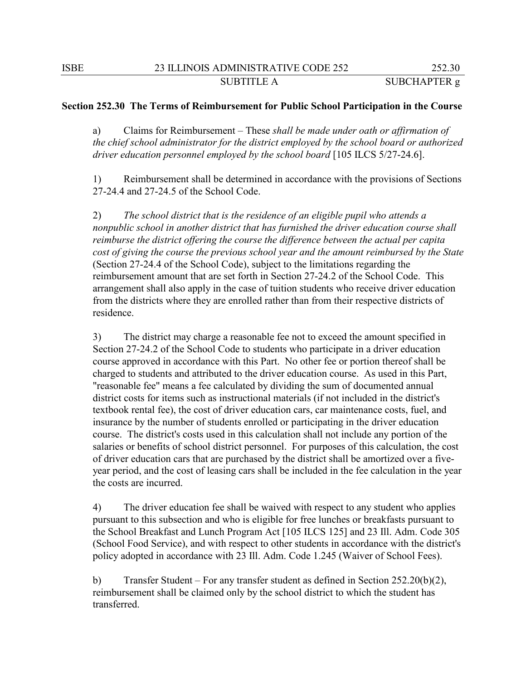#### **Section 252.30 The Terms of Reimbursement for Public School Participation in the Course**

a) Claims for Reimbursement – These *shall be made under oath or affirmation of the chief school administrator for the district employed by the school board or authorized driver education personnel employed by the school board* [105 ILCS 5/27-24.6].

1) Reimbursement shall be determined in accordance with the provisions of Sections 27-24.4 and 27-24.5 of the School Code.

2) *The school district that is the residence of an eligible pupil who attends a nonpublic school in another district that has furnished the driver education course shall reimburse the district offering the course the difference between the actual per capita cost of giving the course the previous school year and the amount reimbursed by the State*  (Section 27-24.4 of the School Code), subject to the limitations regarding the reimbursement amount that are set forth in Section 27-24.2 of the School Code. This arrangement shall also apply in the case of tuition students who receive driver education from the districts where they are enrolled rather than from their respective districts of residence.

3) The district may charge a reasonable fee not to exceed the amount specified in Section 27-24.2 of the School Code to students who participate in a driver education course approved in accordance with this Part. No other fee or portion thereof shall be charged to students and attributed to the driver education course. As used in this Part, "reasonable fee" means a fee calculated by dividing the sum of documented annual district costs for items such as instructional materials (if not included in the district's textbook rental fee), the cost of driver education cars, car maintenance costs, fuel, and insurance by the number of students enrolled or participating in the driver education course. The district's costs used in this calculation shall not include any portion of the salaries or benefits of school district personnel. For purposes of this calculation, the cost of driver education cars that are purchased by the district shall be amortized over a fiveyear period, and the cost of leasing cars shall be included in the fee calculation in the year the costs are incurred.

4) The driver education fee shall be waived with respect to any student who applies pursuant to this subsection and who is eligible for free lunches or breakfasts pursuant to the School Breakfast and Lunch Program Act [105 ILCS 125] and 23 Ill. Adm. Code 305 (School Food Service), and with respect to other students in accordance with the district's policy adopted in accordance with 23 Ill. Adm. Code 1.245 (Waiver of School Fees).

b) Transfer Student – For any transfer student as defined in Section 252.20(b)(2), reimbursement shall be claimed only by the school district to which the student has transferred.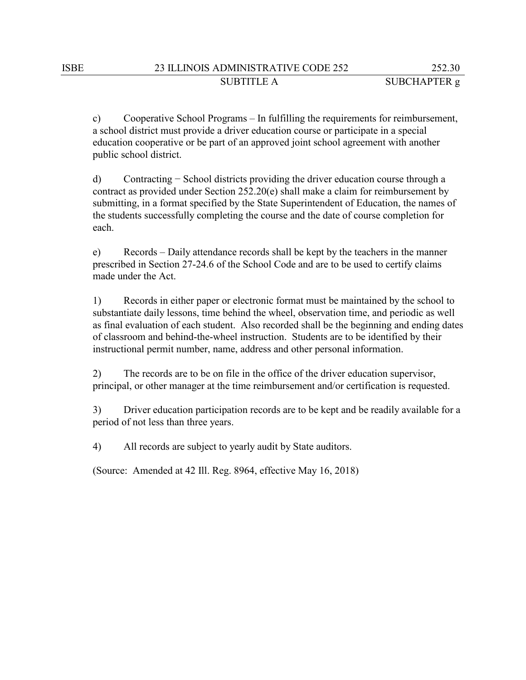c) Cooperative School Programs – In fulfilling the requirements for reimbursement, a school district must provide a driver education course or participate in a special education cooperative or be part of an approved joint school agreement with another public school district.

d) Contracting − School districts providing the driver education course through a contract as provided under Section 252.20(e) shall make a claim for reimbursement by submitting, in a format specified by the State Superintendent of Education, the names of the students successfully completing the course and the date of course completion for each.

e) Records – Daily attendance records shall be kept by the teachers in the manner prescribed in Section 27-24.6 of the School Code and are to be used to certify claims made under the Act.

1) Records in either paper or electronic format must be maintained by the school to substantiate daily lessons, time behind the wheel, observation time, and periodic as well as final evaluation of each student. Also recorded shall be the beginning and ending dates of classroom and behind-the-wheel instruction. Students are to be identified by their instructional permit number, name, address and other personal information.

2) The records are to be on file in the office of the driver education supervisor, principal, or other manager at the time reimbursement and/or certification is requested.

3) Driver education participation records are to be kept and be readily available for a period of not less than three years.

4) All records are subject to yearly audit by State auditors.

(Source: Amended at 42 Ill. Reg. 8964, effective May 16, 2018)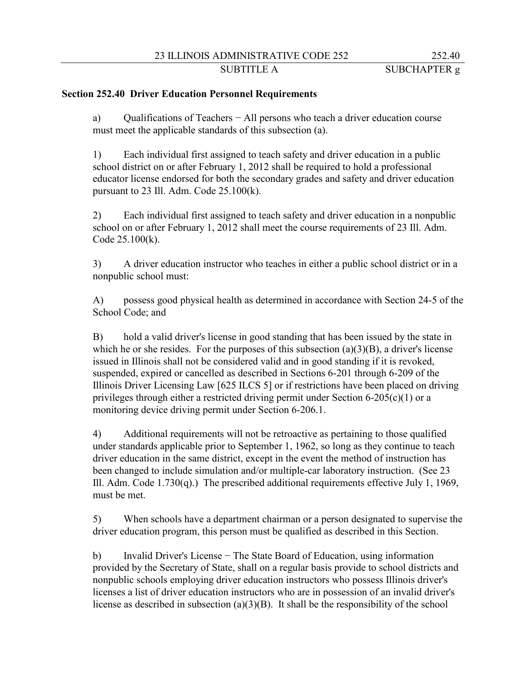### 23 ILLINOIS ADMINISTRATIVE CODE 252 252.40

SUBTITLE A SUBCHAPTER g

#### **Section 252.40 Driver Education Personnel Requirements**

a) Qualifications of Teachers − All persons who teach a driver education course must meet the applicable standards of this subsection (a).

1) Each individual first assigned to teach safety and driver education in a public school district on or after February 1, 2012 shall be required to hold a professional educator license endorsed for both the secondary grades and safety and driver education pursuant to 23 Ill. Adm. Code  $25.100(k)$ .

2) Each individual first assigned to teach safety and driver education in a nonpublic school on or after February 1, 2012 shall meet the course requirements of 23 Ill. Adm. Code 25.100(k).

3) A driver education instructor who teaches in either a public school district or in a nonpublic school must:

A) possess good physical health as determined in accordance with Section 24-5 of the School Code; and

B) hold a valid driver's license in good standing that has been issued by the state in which he or she resides. For the purposes of this subsection  $(a)(3)(B)$ , a driver's license issued in Illinois shall not be considered valid and in good standing if it is revoked, suspended, expired or cancelled as described in Sections 6-201 through 6-209 of the Illinois Driver Licensing Law [625 ILCS 5] or if restrictions have been placed on driving privileges through either a restricted driving permit under Section  $6-205(c)(1)$  or a monitoring device driving permit under Section 6-206.1.

4) Additional requirements will not be retroactive as pertaining to those qualified under standards applicable prior to September 1, 1962, so long as they continue to teach driver education in the same district, except in the event the method of instruction has been changed to include simulation and/or multiple-car laboratory instruction. (See 23 Ill. Adm. Code  $1.730(q)$ .) The prescribed additional requirements effective July 1, 1969, must be met.

5) When schools have a department chairman or a person designated to supervise the driver education program, this person must be qualified as described in this Section.

b) Invalid Driver's License − The State Board of Education, using information provided by the Secretary of State, shall on a regular basis provide to school districts and nonpublic schools employing driver education instructors who possess Illinois driver's licenses a list of driver education instructors who are in possession of an invalid driver's license as described in subsection  $(a)(3)(B)$ . It shall be the responsibility of the school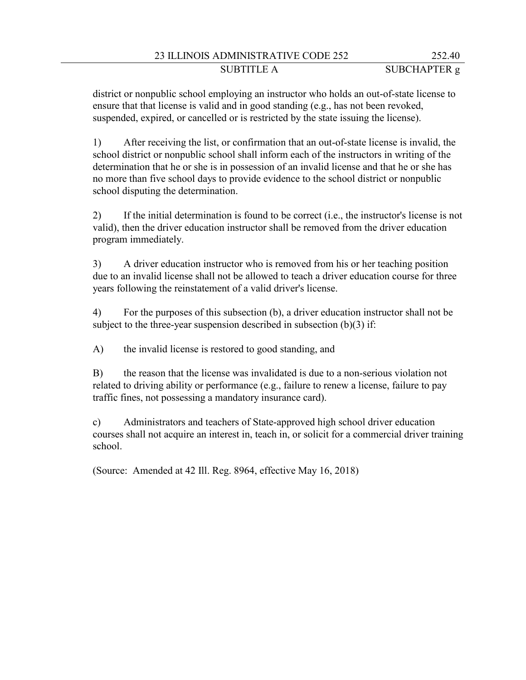### 23 ILLINOIS ADMINISTRATIVE CODE 252 252.40 SUBTITLE A SUBCHAPTER g

district or nonpublic school employing an instructor who holds an out-of-state license to ensure that that license is valid and in good standing (e.g., has not been revoked, suspended, expired, or cancelled or is restricted by the state issuing the license).

1) After receiving the list, or confirmation that an out-of-state license is invalid, the school district or nonpublic school shall inform each of the instructors in writing of the determination that he or she is in possession of an invalid license and that he or she has no more than five school days to provide evidence to the school district or nonpublic school disputing the determination.

2) If the initial determination is found to be correct (i.e., the instructor's license is not valid), then the driver education instructor shall be removed from the driver education program immediately.

3) A driver education instructor who is removed from his or her teaching position due to an invalid license shall not be allowed to teach a driver education course for three years following the reinstatement of a valid driver's license.

4) For the purposes of this subsection (b), a driver education instructor shall not be subject to the three-year suspension described in subsection  $(b)(3)$  if:

A) the invalid license is restored to good standing, and

B) the reason that the license was invalidated is due to a non-serious violation not related to driving ability or performance (e.g., failure to renew a license, failure to pay traffic fines, not possessing a mandatory insurance card).

c) Administrators and teachers of State-approved high school driver education courses shall not acquire an interest in, teach in, or solicit for a commercial driver training school.

(Source: Amended at 42 Ill. Reg. 8964, effective May 16, 2018)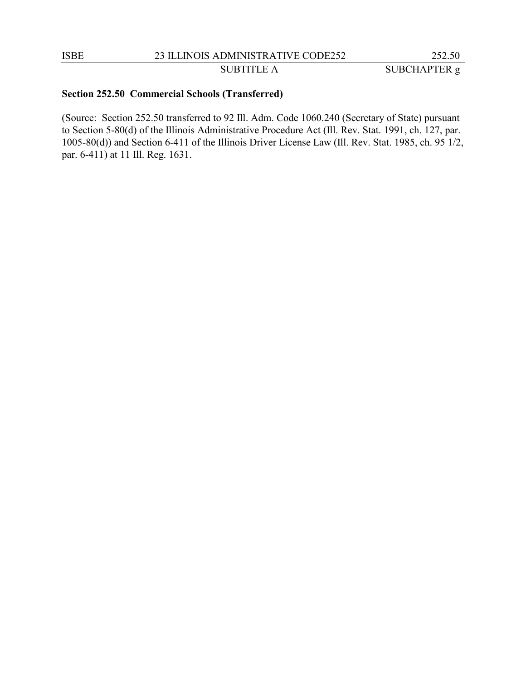SUBTITLE A SUBCHAPTER g

#### **Section 252.50 Commercial Schools (Transferred)**

(Source: Section 252.50 transferred to 92 Ill. Adm. Code 1060.240 (Secretary of State) pursuant to Section 5-80(d) of the Illinois Administrative Procedure Act (Ill. Rev. Stat. 1991, ch. 127, par. 1005-80(d)) and Section 6-411 of the Illinois Driver License Law (Ill. Rev. Stat. 1985, ch. 95 1/2, par. 6-411) at 11 Ill. Reg. 1631.